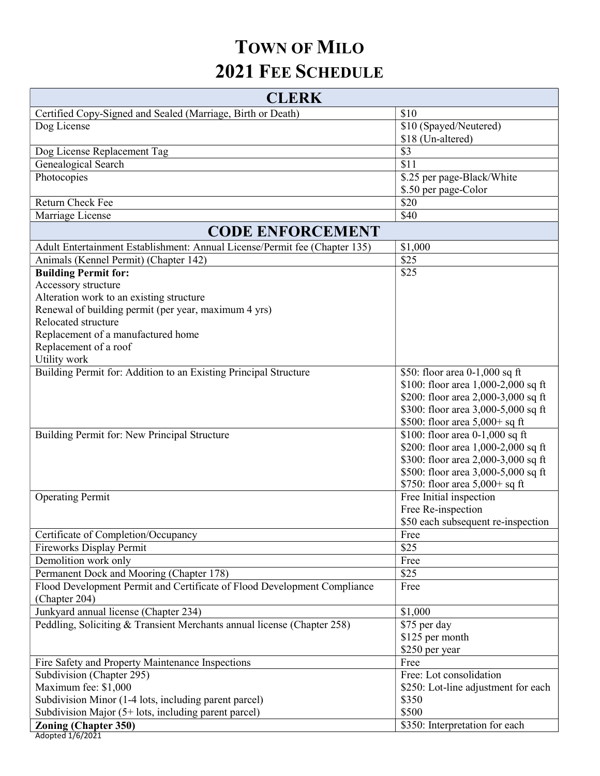## TOWN OF MILO 2021 FEE SCHEDULE

| <b>CLERK</b>                                                                  |                                              |
|-------------------------------------------------------------------------------|----------------------------------------------|
| Certified Copy-Signed and Sealed (Marriage, Birth or Death)                   | \$10                                         |
| Dog License                                                                   | \$10 (Spayed/Neutered)                       |
|                                                                               | \$18 (Un-altered)                            |
| Dog License Replacement Tag                                                   | \$3                                          |
| <b>Genealogical Search</b>                                                    | $\overline{$11}$                             |
| Photocopies                                                                   | \$.25 per page-Black/White                   |
|                                                                               | \$.50 per page-Color                         |
| <b>Return Check Fee</b>                                                       | \$20                                         |
| Marriage License                                                              | \$40                                         |
| <b>CODE ENFORCEMENT</b>                                                       |                                              |
| Adult Entertainment Establishment: Annual License/Permit fee (Chapter 135)    | \$1,000                                      |
| Animals (Kennel Permit) (Chapter 142)                                         | \$25                                         |
| <b>Building Permit for:</b>                                                   | \$25                                         |
| Accessory structure                                                           |                                              |
| Alteration work to an existing structure                                      |                                              |
| Renewal of building permit (per year, maximum 4 yrs)                          |                                              |
| Relocated structure                                                           |                                              |
| Replacement of a manufactured home                                            |                                              |
| Replacement of a roof                                                         |                                              |
| Utility work                                                                  |                                              |
| Building Permit for: Addition to an Existing Principal Structure              | \$50: floor area 0-1,000 sq ft               |
|                                                                               | \$100: floor area 1,000-2,000 sq ft          |
|                                                                               | \$200: floor area 2,000-3,000 sq ft          |
|                                                                               | \$300: floor area 3,000-5,000 sq ft          |
|                                                                               | \$500: floor area 5,000+ sq ft               |
| Building Permit for: New Principal Structure                                  | \$100: floor area 0-1,000 sq ft              |
|                                                                               | \$200: floor area 1,000-2,000 sq ft          |
|                                                                               | \$300: floor area 2,000-3,000 sq ft          |
|                                                                               | \$500: floor area 3,000-5,000 sq ft          |
|                                                                               | \$750: floor area 5,000+ sq ft               |
| <b>Operating Permit</b>                                                       | Free Initial inspection                      |
|                                                                               | Free Re-inspection                           |
|                                                                               | \$50 each subsequent re-inspection           |
| Certificate of Completion/Occupancy                                           | Free                                         |
| <b>Fireworks Display Permit</b>                                               | \$25                                         |
| Demolition work only                                                          | Free                                         |
| Permanent Dock and Mooring (Chapter 178)                                      | \$25                                         |
| Flood Development Permit and Certificate of Flood Development Compliance      | Free                                         |
| (Chapter 204)                                                                 |                                              |
| Junkyard annual license (Chapter 234)                                         | \$1,000                                      |
| Peddling, Soliciting & Transient Merchants annual license (Chapter 258)       | \$75 per day                                 |
|                                                                               | \$125 per month                              |
|                                                                               | \$250 per year<br>Free                       |
| Fire Safety and Property Maintenance Inspections                              | Free: Lot consolidation                      |
| Subdivision (Chapter 295)                                                     |                                              |
| Maximum fee: \$1,000<br>Subdivision Minor (1-4 lots, including parent parcel) | \$250: Lot-line adjustment for each<br>\$350 |
| Subdivision Major $(5+$ lots, including parent parcel)                        | \$500                                        |
| <b>Zoning (Chapter 350)</b>                                                   | \$350: Interpretation for each               |
| Adopted 1/6/2021                                                              |                                              |